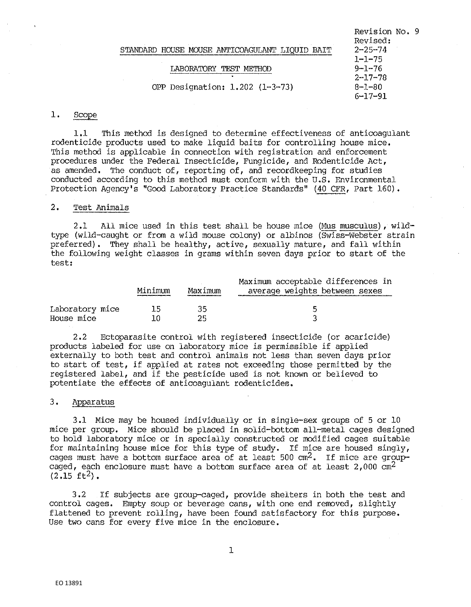# LABORATOR Y TEST METHOD

OPP Designati on: 1.202 (1-3-73)

Revision No. 9 Revised:  $2 - 25 - 74$  $1 - 1 - 75$ 9-1-76 2-17-78 8-1-80 6-17-91

# **1.** Scope

**1.1** This method is designed to determine effectiveness of anticoagulant rodenticide products used to make liquid baits for controlling house mice. This method is applicable in connection with registration and enforcement procedures under the Federal Insecticide, Fungicide, and Rodenticide Act, as amended. The conduct of, reporting of, and recordkeeping for studies conducted according to this method must conform with the U.S. Environmental Protection Agency's "Good Laboratory Practice Standards" (40 CFR, Part 160).

## 2. Test Animals

2 .1 All mice used in this test shall be house mice (Mus musculus), wildtype (wild-caught or from a wild mouse colony) or albinos (Swiss-Webster strain preferred). They shall be healthy, active, sexually mature, and fall within the following weight classes in grams within seven days prior to start of the test:

|                 | Minimum | Maximum | Maximum acceptable differences in<br>average weights between sexes |
|-----------------|---------|---------|--------------------------------------------------------------------|
| Laboratory mice | 15      | 35.     | -Б                                                                 |
| House mice      | 1 ሰ     | つら      |                                                                    |

2.2 Ectoparasite control with registered insecticide (or acaricide) products labeled for use on laboratory mice is permissible if applied externally to both test and control animals not less than seven days prior to start of test, if applied at rates not exceeding those permitted by the registered label, and if the pesticide used is not known or believed to potentiate the effects of anticoagulant rodenticides.

#### 3. Apparatus

3.1 Mice may be housed individually or in single-sex groups of 5 or 10 mice per group. Mice should be placed in solid-bottom all-metal cages designed to hold laboratory mice or in specially constructed or modified cages suitable for maintaining house mice for this type of study. If mice are housed singly, cages must have a bottom surface area of at least  $500 \text{ cm}^2$ . If mice are groupcaged, each enclosure must have a bottom surface area of at least  $2,000$  cm<sup>2</sup>  $(2.15 \text{ ft}^2)$ .

3,2 If subjects are group-caged, provide shelters in both the test and control cages. Empty soup or beverage cans, with one end removed, slightly flattened to prevent rolling, have been found satisfactory for this purpose, Use two cans for every five mice in the enclosure,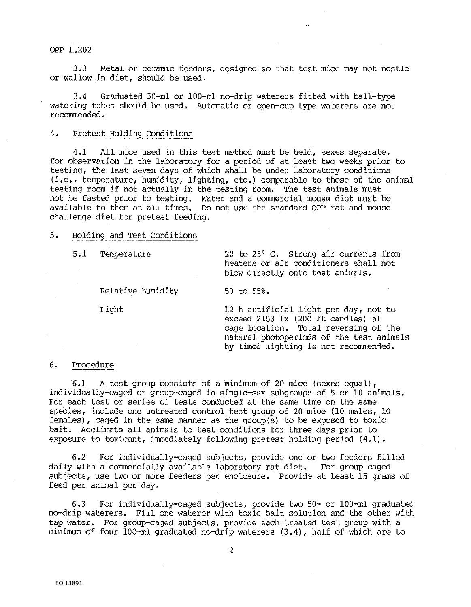OPP l.202

3.3 Metal or ceramic feeders, designed so that test mice may not nestle or wallow in diet, should be used.

3.4 Graduated 50-ml or 100-ml no-drip waterers fitted with ball·-type watering tubes should be used. Automatic or open-cup type waterers are not recommended.

# 4. Pretest Holding Conditions

4.1 All mice used in this test method must be held, sexes separate, for observation in the laboratory for a period of at least two weeks prior to testing, the last seven days of which shall be under laboratory conditions  $(i.e., temperature, humidity, lighting, etc.)$  comparable to those of the animal testing room if not actually in the testing room. The test animals must not be fasted prior to testing. Water and a commercial mouse diet must be available to them at all times. Do not use the standard OPP rat and mouse challenge diet for pretest feeding.

#### 5, Holding and Test Conditions

Relative humidity 50 to 55%.

5.1 Temperature 20 to 25° C. Strong air currents from heaters or air conditioners shall not blow directly onto test animals.

Light 12 h artificial light per day, not to exceed 2153 lx (200 ft candles) at cage location. Total reversing of the natural photoperiods of the test animals by timed lighting is not recommended,

#### 6. Procedure

6.1 A test group consists of a minimum of 20 mice (sexes equal), individually-caged or group-caged in single-sex subgroups of 5 or 10 animals. For each test or series of tests conducted at the same time on the same species, include one untreated control test group of 20 mice (10 males, 10 females), caged in the same manner as the  $group(s)$  to be exposed to toxic bait. Acclimate all animals to test conditions for three days prior to exposure to toxicant, immediately following pretest holding period (4,1).

6.2 For individually-caged subjects, provide one or two feeders filled daily with a commercially available laboratory rat diet. For group caged subjects, use two or more feeders per enclosure. Provide at least 15 grams of feed per animal per day.

6.3 For individually-caged subjects, provide two 50- or 100-ml graduated no-drip waterers. Fill one waterer with toxic bait solution and the other with tap water. For group-caged subjects, provide each treated test group with a minimum of four 100·-ml graduated no-drip waterers (3 .4), half of which are to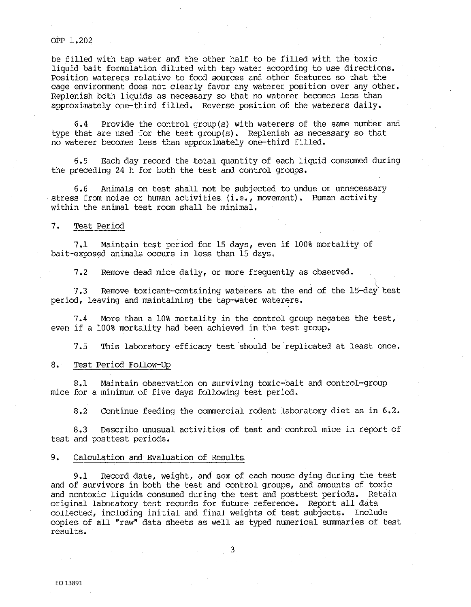## OPP 1.202

be filled with tap water and the other half to be filled with the toxic liquid bait formulation diluted with tap water according to use directions, Position waterers relative to food sources and other features so that the cage environment does not clearly favor any waterer position over any other, Replenish both liquids as necessary so that no waterer becomes less than approximately one-third filled. Reverse position of the waterers daily,

6.4 Provide the control group(s) with waterers of the same number and type that are used for the test group(s). Replenish as necessary so that no waterer becomes less than approximately one-third filled.

6.5 Each day record the total quantity of each liquid consumed during the preceding 24 h for both the test and control groups.

6.6 Animals on test shall not be subjected to undue or unnecessary stress from noise or human activities (i.e., movement). Human activity within the animal test room shall be minimal.

### 7. Test Period

7,1 Maintain test period for 15 days, even if 100% mortality of bait-exposed animals occurs in less than 15 days.

7,2 Remove dead mice daily, or more frequently as observed.

7.3 Remove toxicant-containing waterers at the end of the 15-day test period, leaving and maintaining the tap-water waterers.

7. 4 More than a 10% mortality in the control group negates the test, even if a 100% mortality had been achieved in the test group.

7.5 This laboratory efficacy test should be replicated at least once.

## 8. Test Period Follow-Up

8,1 Maintain observation on surviving toxic-bait and control-group mice for a minimum of five days following test period.

8.2 Continue feeding the commercial rodent laboratory diet as in 6.2.

8,3 Describe unusual activities of test and control mice in report of test and posttest periods.

# 9. Calculation and Evaluation of Results

9.1 Record date, weight, and sex of each mouse dying during the test and of survivors in both the test and control groups, and amounts of toxic and nontoxic liquids consumed during the test and posttest periods. Retain original laboratory test records for future reference. Report all data collected, including initial and final weights of test subjects. Include copies of all "raw" data sheets as well. as typed numerical summaries of test results.